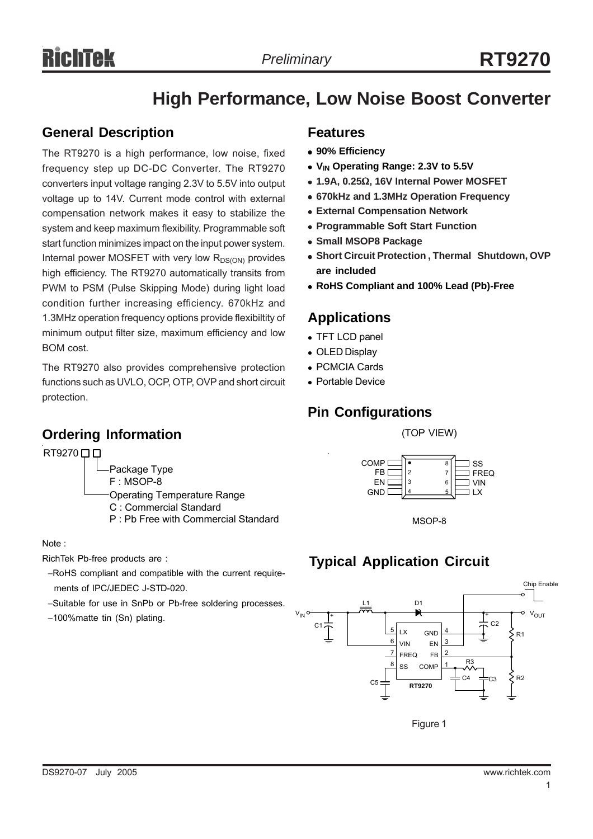# **High Performance, Low Noise Boost Converter**

# **General Description**

The RT9270 is a high performance, low noise, fixed frequency step up DC-DC Converter. The RT9270 converters input voltage ranging 2.3V to 5.5V into output voltage up to 14V. Current mode control with external compensation network makes it easy to stabilize the system and keep maximum flexibility. Programmable soft start function minimizes impact on the input power system. Internal power MOSFET with very low  $R_{DS(ON)}$  provides high efficiency. The RT9270 automatically transits from PWM to PSM (Pulse Skipping Mode) during light load condition further increasing efficiency. 670kHz and 1.3MHz operation frequency options provide flexibiltity of minimum output filter size, maximum efficiency and low BOM cost.

The RT9270 also provides comprehensive protection functions such as UVLO, OCP, OTP, OVP and short circuit protection.

# **Ordering Information**

RT9270 **0 0** 

- Package Type F : MSOP-8
- Operating Temperature Range C : Commercial Standard
	- P : Pb Free with Commercial Standard

Note :

RichTek Pb-free products are :

- −RoHS compliant and compatible with the current require ments of IPC/JEDEC J-STD-020.
- −Suitable for use in SnPb or Pb-free soldering processes.
- −100%matte tin (Sn) plating.

# **Features**

- <sup>z</sup> **90% Efficiency**
- V<sub>IN</sub> Operating Range: 2.3V to 5.5V
- <sup>z</sup> **1.9A, 0.25**Ω**, 16V Internal Power MOSFET**
- <sup>z</sup> **670kHz and 1.3MHz Operation Frequency**
- **External Compensation Network**
- **Programmable Soft Start Function**
- **Small MSOP8 Package**
- **Short Circuit Protection , Thermal Shutdown, OVP are included**
- <sup>z</sup> **RoHS Compliant and 100% Lead (Pb)-Free**

# **Applications**

- TFT LCD panel
- OLED Display
- PCMCIA Cards
- Portable Device

# **Pin Configurations**

(TOP VIEW)





# **Typical Application Circuit**



Figure 1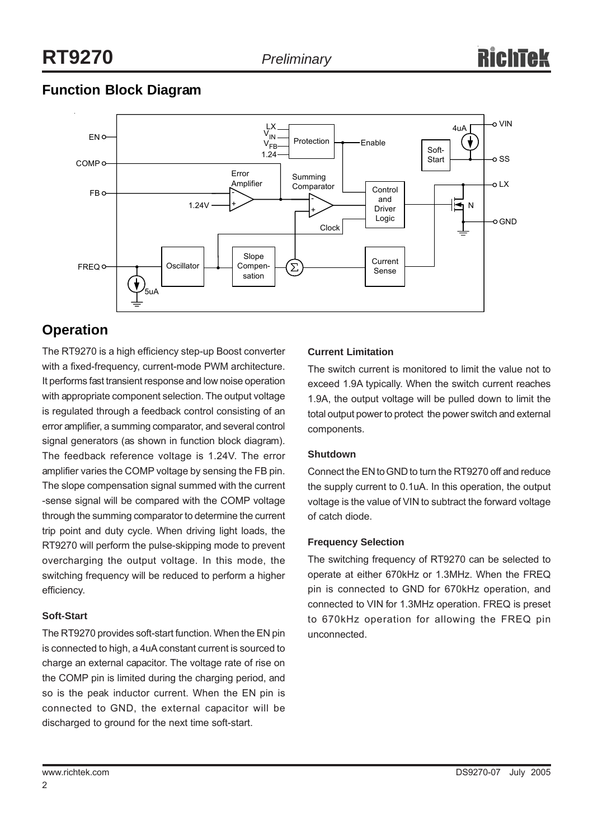# **Function Block Diagram**



# **Operation**

The RT9270 is a high efficiency step-up Boost converter with a fixed-frequency, current-mode PWM architecture. It performs fast transient response and low noise operation with appropriate component selection. The output voltage is regulated through a feedback control consisting of an error amplifier, a summing comparator, and several control signal generators (as shown in function block diagram). The feedback reference voltage is 1.24V. The error amplifier varies the COMP voltage by sensing the FB pin. The slope compensation signal summed with the current -sense signal will be compared with the COMP voltage through the summing comparator to determine the current trip point and duty cycle. When driving light loads, the RT9270 will perform the pulse-skipping mode to prevent overcharging the output voltage. In this mode, the switching frequency will be reduced to perform a higher efficiency.

#### **Soft-Start**

The RT9270 provides soft-start function. When the EN pin is connected to high, a 4uA constant current is sourced to charge an external capacitor. The voltage rate of rise on the COMP pin is limited during the charging period, and so is the peak inductor current. When the EN pin is connected to GND, the external capacitor will be discharged to ground for the next time soft-start.

# **Current Limitation**

The switch current is monitored to limit the value not to exceed 1.9A typically. When the switch current reaches 1.9A, the output voltage will be pulled down to limit the total output power to protect the power switch and external components.

#### **Shutdown**

Connect the EN to GND to turn the RT9270 off and reduce the supply current to 0.1uA. In this operation, the output voltage is the value of VIN to subtract the forward voltage of catch diode.

#### **Frequency Selection**

The switching frequency of RT9270 can be selected to operate at either 670kHz or 1.3MHz. When the FREQ pin is connected to GND for 670kHz operation, and connected to VIN for 1.3MHz operation. FREQ is preset to 670kHz operation for allowing the FREQ pin unconnected.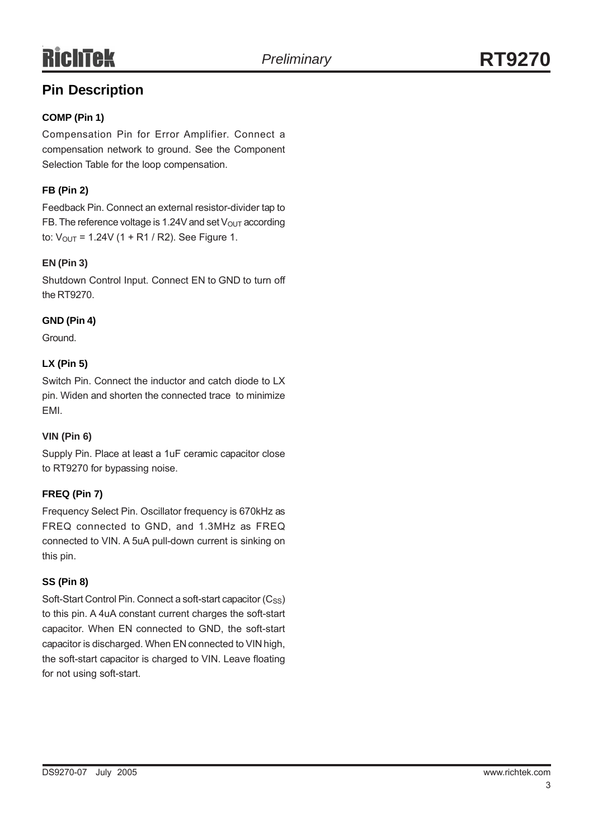# **Pin Description**

# **COMP (Pin 1)**

Compensation Pin for Error Amplifier. Connect a compensation network to ground. See the Component Selection Table for the loop compensation.

# **FB (Pin 2)**

Feedback Pin. Connect an external resistor-divider tap to FB. The reference voltage is 1.24V and set  $V_{\text{OUT}}$  according to:  $V_{OUT}$  = 1.24V (1 + R1 / R2). See Figure 1.

# **EN (Pin 3)**

Shutdown Control Input. Connect EN to GND to turn off the RT9270.

# **GND (Pin 4)**

Ground.

# **LX (Pin 5)**

Switch Pin. Connect the inductor and catch diode to LX pin. Widen and shorten the connected trace to minimize EMI.

# **VIN (Pin 6)**

Supply Pin. Place at least a 1uF ceramic capacitor close to RT9270 for bypassing noise.

# **FREQ (Pin 7)**

Frequency Select Pin. Oscillator frequency is 670kHz as FREQ connected to GND, and 1.3MHz as FREQ connected to VIN. A 5uA pull-down current is sinking on this pin.

# **SS (Pin 8)**

Soft-Start Control Pin. Connect a soft-start capacitor (Css) to this pin. A 4uA constant current charges the soft-start capacitor. When EN connected to GND, the soft-start capacitor is discharged. When EN connected to VIN high, the soft-start capacitor is charged to VIN. Leave floating for not using soft-start.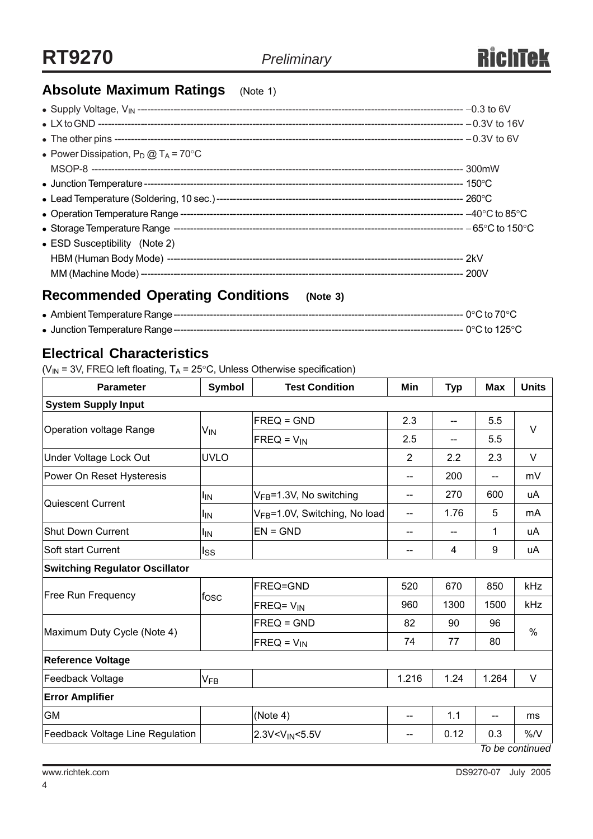# **Absolute Maximum Ratings** (Note 1)

| • Power Dissipation, $P_D @ T_A = 70^{\circ}C$ |  |
|------------------------------------------------|--|
|                                                |  |
|                                                |  |
|                                                |  |
|                                                |  |
|                                                |  |
| • ESD Susceptibility (Note 2)                  |  |
|                                                |  |
|                                                |  |
|                                                |  |

# **Recommended Operating Conditions (Note 3)**

<sup>z</sup> Ambient Temperature Range---------------------------------------------------------------------------------------- 0°C to 70°C

<sup>z</sup> Junction Temperature Range---------------------------------------------------------------------------------------- 0°C to 125°C

# **Electrical Characteristics**

( $V_{IN}$  = 3V, FREQ left floating,  $T_A$  = 25°C, Unless Otherwise specification)

| <b>Parameter</b>                      | <b>Symbol</b>   | <b>Test Condition</b>                                                             | Min                                 | <b>Typ</b> | <b>Max</b> | <b>Units</b> |  |  |  |
|---------------------------------------|-----------------|-----------------------------------------------------------------------------------|-------------------------------------|------------|------------|--------------|--|--|--|
| <b>System Supply Input</b>            |                 |                                                                                   |                                     |            |            |              |  |  |  |
|                                       | V <sub>IN</sub> | $FREQ = GND$                                                                      | 2.3                                 | 5.5<br>--  |            | V            |  |  |  |
| Operation voltage Range               |                 | $FREG = V_{IN}$                                                                   | 2.5                                 | --         | 5.5        |              |  |  |  |
| Under Voltage Lock Out                | <b>UVLO</b>     |                                                                                   | 2                                   | 2.2        | 2.3        | $\vee$       |  |  |  |
| Power On Reset Hysteresis             |                 |                                                                                   | $-$                                 | 200        | --         | mV           |  |  |  |
| Quiescent Current                     | ΙıΝ             | V <sub>FB</sub> =1.3V, No switching                                               | --                                  | 270        | 600        | uA           |  |  |  |
|                                       | ΙıΝ             | V <sub>FB</sub> =1.0V, Switching, No load                                         |                                     | 1.76       | 5          | mA           |  |  |  |
| <b>Shut Down Current</b>              | ΙıΝ             | $EN = GND$                                                                        | --                                  |            | 1          | uA           |  |  |  |
| Soft start Current                    | lss             |                                                                                   | --                                  | 4          | 9          | uA           |  |  |  |
| <b>Switching Regulator Oscillator</b> |                 |                                                                                   |                                     |            |            |              |  |  |  |
| <b>Free Run Frequency</b>             | fosc            | FREQ=GND                                                                          | 520                                 | 670        | 850        | kHz          |  |  |  |
|                                       |                 | FREQ= V <sub>IN</sub>                                                             | 960                                 | 1300       | 1500       | kHz          |  |  |  |
| Maximum Duty Cycle (Note 4)           |                 | $FREQ = GND$                                                                      | 82                                  | 90         | 96         | $\%$         |  |  |  |
|                                       |                 | $FREQ = V_{IN}$                                                                   | 74                                  | 77         | 80         |              |  |  |  |
| <b>Reference Voltage</b>              |                 |                                                                                   |                                     |            |            |              |  |  |  |
| Feedback Voltage                      | $V_{FB}$        |                                                                                   | 1.216                               | 1.24       | 1.264      | $\vee$       |  |  |  |
| <b>Error Amplifier</b>                |                 |                                                                                   |                                     |            |            |              |  |  |  |
| <b>GM</b>                             |                 | (Note 4)                                                                          | $\hspace{0.05cm}$ $\hspace{0.05cm}$ | 1.1        | --         | ms           |  |  |  |
| Feedback Voltage Line Regulation      |                 | 2.3V <vin<5.5v< td=""><td>--</td><td>0.12</td><td>0.3</td><td>%N</td></vin<5.5v<> | --                                  | 0.12       | 0.3        | %N           |  |  |  |

*To be continued*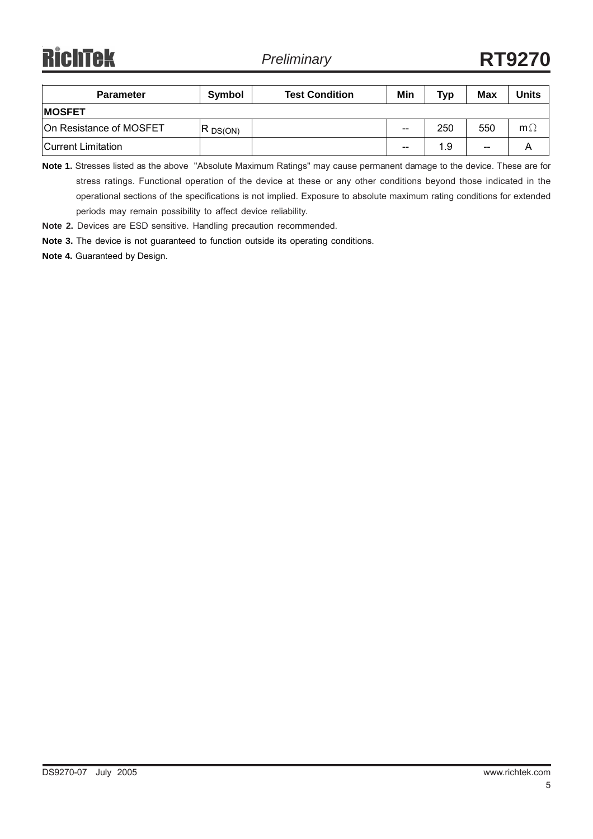**RichTek** 

| <b>Parameter</b>        | Symbol     | <b>Test Condition</b> | Min   | <b>Typ</b> | Max | Jnits     |  |  |
|-------------------------|------------|-----------------------|-------|------------|-----|-----------|--|--|
| <b>IMOSFET</b>          |            |                       |       |            |     |           |  |  |
| On Resistance of MOSFET | $R$ DS(ON) |                       | $- -$ | 250        | 550 | $m\Omega$ |  |  |
| Current Limitation      |            |                       | $- -$ | 1.9        | $-$ |           |  |  |

**Note 1.** Stresses listed as the above "Absolute Maximum Ratings" may cause permanent damage to the device. These are for stress ratings. Functional operation of the device at these or any other conditions beyond those indicated in the operational sections of the specifications is not implied. Exposure to absolute maximum rating conditions for extended periods may remain possibility to affect device reliability.

**Note 2.** Devices are ESD sensitive. Handling precaution recommended.

**Note 3.** The device is not guaranteed to function outside its operating conditions.

**Note 4.** Guaranteed by Design.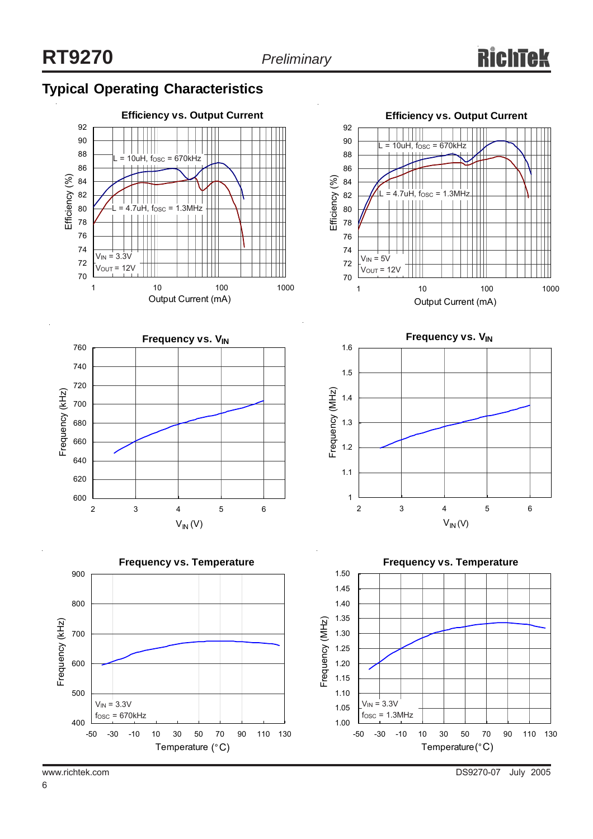# **Typical Operating Characteristics**









**Frequency vs. V<sub>IN</sub>** 



**Frequency vs. Temperature**

1.50

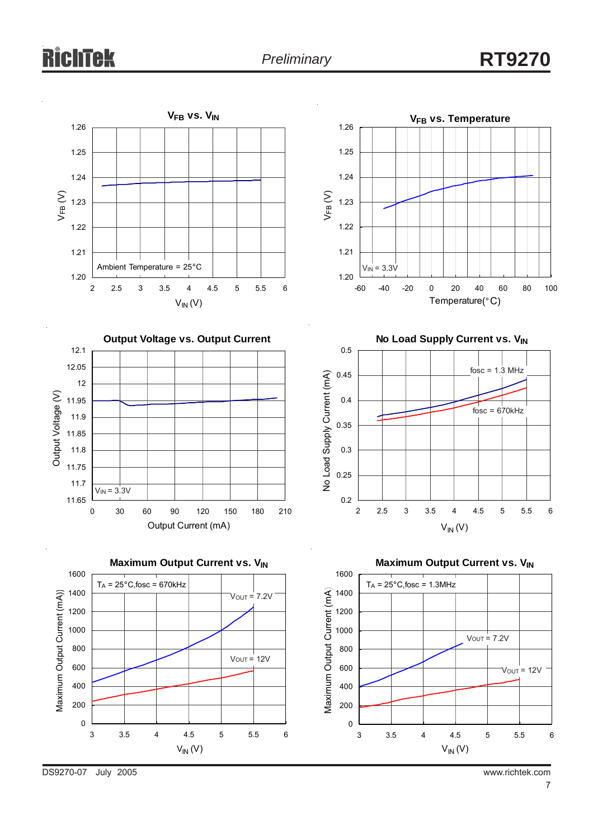# chtek



DS9270-07 July 2005 www.richtek.com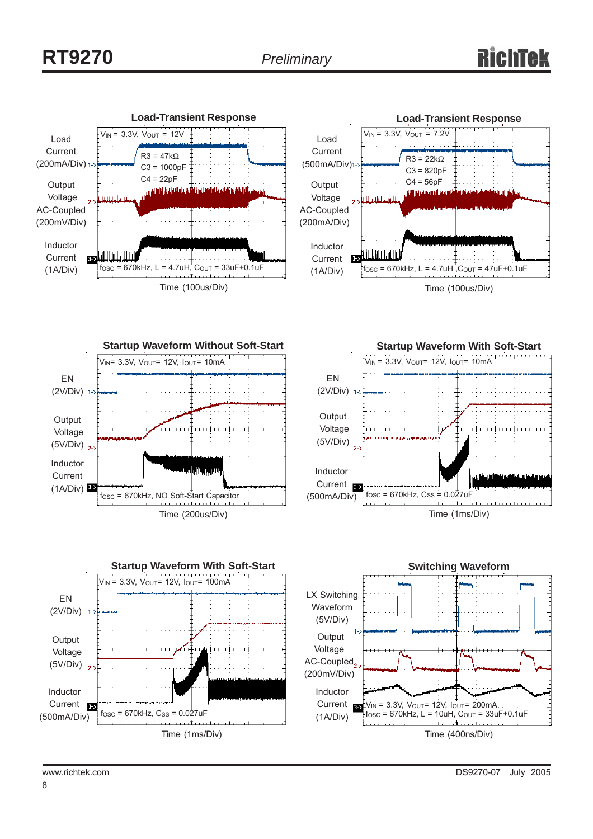





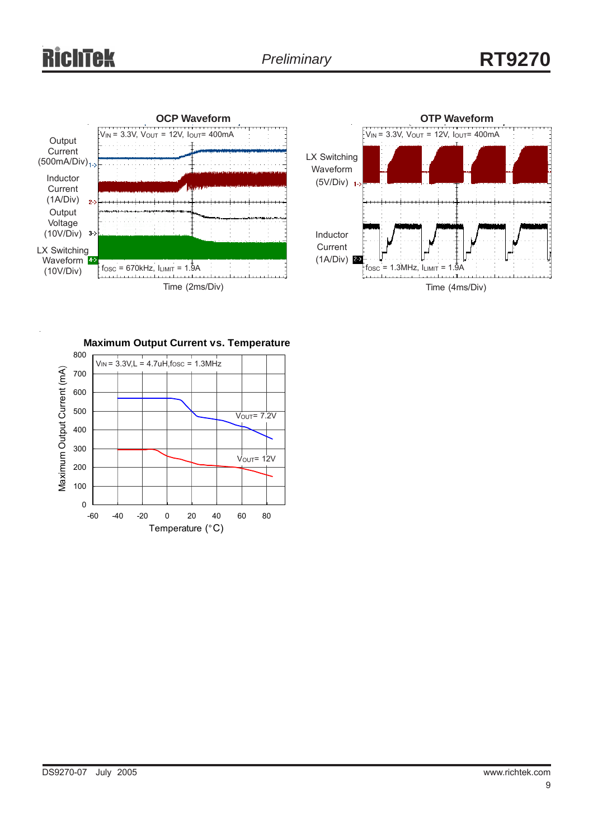# Tek





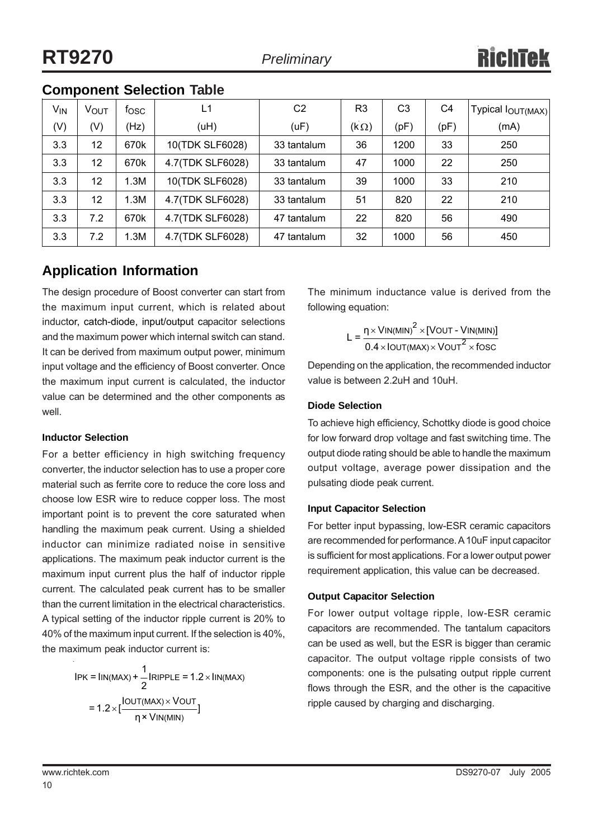# **Component Selection Table**

| <b>V<sub>IN</sub></b> | VOUT              | fosc | L1               | C2          | R <sub>3</sub> | C <sub>3</sub> | C4   | <b>Typical louT(MAX)</b> |
|-----------------------|-------------------|------|------------------|-------------|----------------|----------------|------|--------------------------|
| (V)                   | (V)               | (Hz) | (uH)             | (UF)        | $(k \Omega)$   | (pF)           | (pF) | (mA)                     |
| 3.3                   | 12                | 670k | 10(TDK SLF6028)  | 33 tantalum | 36             | 1200           | 33   | 250                      |
| 3.3                   | 12                | 670k | 4.7(TDK SLF6028) | 33 tantalum | 47             | 1000           | 22   | 250                      |
| 3.3                   | $12 \overline{ }$ | I.3M | 10(TDK SLF6028)  | 33 tantalum | 39             | 1000           | 33   | 210                      |
| 3.3                   | 12                | 1.3M | 4.7(TDK SLF6028) | 33 tantalum | 51             | 820            | 22   | 210                      |
| 3.3                   | 7.2               | 670k | 4.7(TDK SLF6028) | 47 tantalum | 22             | 820            | 56   | 490                      |
| 3.3                   | 7.2               | .3M  | 4.7(TDK SLF6028) | 47 tantalum | 32             | 1000           | 56   | 450                      |

# **Application Information**

The design procedure of Boost converter can start from the maximum input current, which is related about inductor, catch-diode, input/output capacitor selections and the maximum power which internal switch can stand. It can be derived from maximum output power, minimum input voltage and the efficiency of Boost converter. Once the maximum input current is calculated, the inductor value can be determined and the other components as well.

#### **Inductor Selection**

For a better efficiency in high switching frequency converter, the inductor selection has to use a proper core material such as ferrite core to reduce the core loss and choose low ESR wire to reduce copper loss. The most important point is to prevent the core saturated when handling the maximum peak current. Using a shielded inductor can minimize radiated noise in sensitive applications. The maximum peak inductor current is the maximum input current plus the half of inductor ripple current. The calculated peak current has to be smaller than the current limitation in the electrical characteristics. A typical setting of the inductor ripple current is 20% to 40% of the maximum input current. If the selection is 40%, the maximum peak inductor current is:

$$
IPK = \text{lin}(\text{MAX}) + \frac{1}{2} \text{IRIPPLE} = 1.2 \times \text{lin}(\text{MAX})
$$
\n
$$
= 1.2 \times \left[\frac{\text{OUT}(\text{MAX}) \times \text{VOUT}}{\text{N} \times \text{VIN}(\text{MIN})}\right]
$$

The minimum inductance value is derived from the following equation:

$$
L = \frac{\eta \times V \text{IN(MIN)}^2 \times [V \text{OUT} - V \text{IN(MIN)}]}{0.4 \times I \text{OUT(MAX)} \times V \text{OUT}^2 \times f \text{OSC}}
$$

Depending on the application, the recommended inductor value is between 2.2uH and 10uH.

# **Diode Selection**

To achieve high efficiency, Schottky diode is good choice for low forward drop voltage and fast switching time. The output diode rating should be able to handle the maximum output voltage, average power dissipation and the pulsating diode peak current.

# **Input Capacitor Selection**

For better input bypassing, low-ESR ceramic capacitors are recommended for performance. A 10uF input capacitor is sufficient for most applications. For a lower output power requirement application, this value can be decreased.

# **Output Capacitor Selection**

For lower output voltage ripple, low-ESR ceramic capacitors are recommended. The tantalum capacitors can be used as well, but the ESR is bigger than ceramic capacitor. The output voltage ripple consists of two components: one is the pulsating output ripple current flows through the ESR, and the other is the capacitive ripple caused by charging and discharging.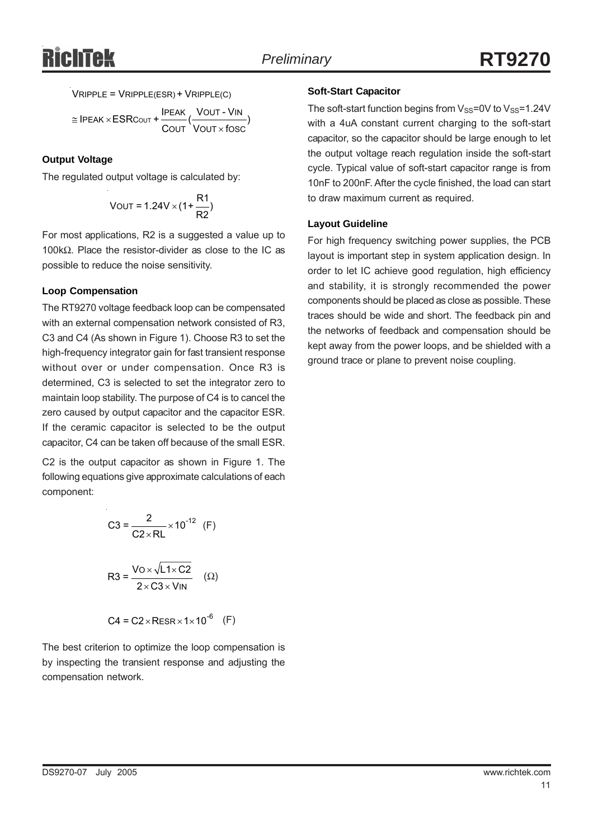$$
VRIPPLE = VRIPPLE(ESR) + VRIPPLE(C)
$$

≅ IPEAK × ESRCουτ + <mark>IPEAK VOUT - VIN</mark><br>COUT VOUT × fose out Vout×fosc  $\textsf{IPEAK}\times\textsf{ESRCout}+\frac{\textsf{IPEAK}}{\textsf{COUT}}(\frac{\textsf{VOUT}-\textsf{VIN}}{\textsf{VOUT}\times \textsf{fOSC}})$ 

#### **Output Voltage**

The regulated output voltage is calculated by:

$$
VOUT = 1.24V \times (1 + \frac{R1}{R2})
$$

For most applications, R2 is a suggested a value up to 100kΩ. Place the resistor-divider as close to the IC as possible to reduce the noise sensitivity.

#### **Loop Compensation**

The RT9270 voltage feedback loop can be compensated with an external compensation network consisted of R3, C3 and C4 (As shown in Figure 1). Choose R3 to set the high-frequency integrator gain for fast transient response without over or under compensation. Once R3 is determined, C3 is selected to set the integrator zero to maintain loop stability. The purpose of C4 is to cancel the zero caused by output capacitor and the capacitor ESR. If the ceramic capacitor is selected to be the output capacitor, C4 can be taken off because of the small ESR.

C2 is the output capacitor as shown in Figure 1. The following equations give approximate calculations of each component:

C3 = 
$$
\frac{2}{C2 \times RL} \times 10^{-12}
$$
 (F)  
R3 =  $\frac{V0 \times \sqrt{L1 \times C2}}{2 \times C3 \times V1N}$  (Ω)  
C4 = C2 × RESR × 1 × 10<sup>-6</sup> (F)

The best criterion to optimize the loop compensation is by inspecting the transient response and adjusting the compensation network.

#### **Soft-Start Capacitor**

The soft-start function begins from  $V_{SS}=0V$  to  $V_{SS}=1.24V$ with a 4uA constant current charging to the soft-start capacitor, so the capacitor should be large enough to let the output voltage reach regulation inside the soft-start cycle. Typical value of soft-start capacitor range is from 10nF to 200nF. After the cycle finished, the load can start to draw maximum current as required.

#### **Layout Guideline**

For high frequency switching power supplies, the PCB layout is important step in system application design. In order to let IC achieve good regulation, high efficiency and stability, it is strongly recommended the power components should be placed as close as possible. These traces should be wide and short. The feedback pin and the networks of feedback and compensation should be kept away from the power loops, and be shielded with a ground trace or plane to prevent noise coupling.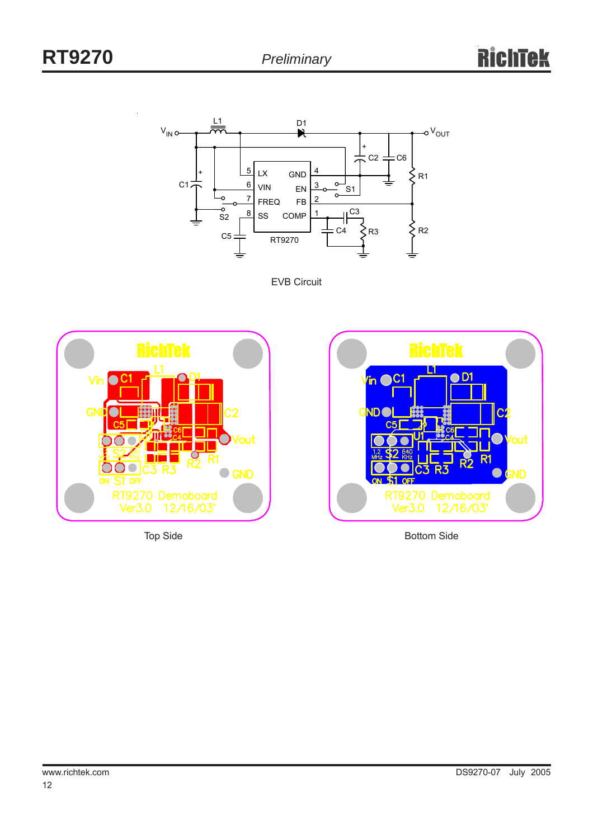

EVB Circuit





Top Side **Bottom Side** Bottom Side